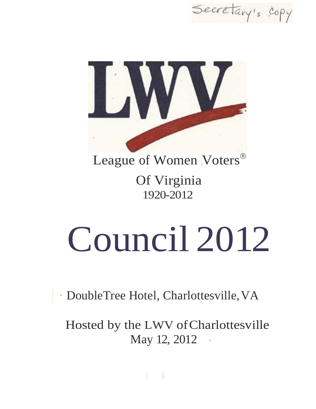Secretary's copy



League of Women Voters<sup>®</sup>

Of Virginia 1920-2012

# Council 2012

· · DoubleTree Hotel, Charlottesville,VA

Hosted by the LWV ofCharlottesville May 12, 2012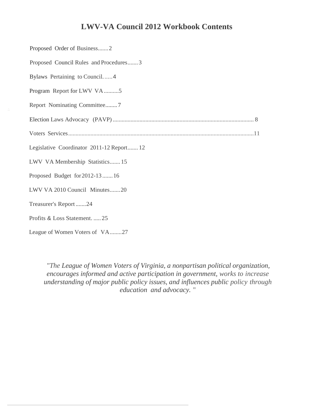# **LWV-VA Council 2012 Workbook Contents**

| Proposed Order of Business2               |
|-------------------------------------------|
| Proposed Council Rules and Procedures3    |
| Bylaws Pertaining to Council4             |
| Program Report for LWV VA5                |
| Report Nominating Committee7              |
|                                           |
|                                           |
| Legislative Coordinator 2011-12 Report 12 |
| LWV VA Membership Statistics 15           |
| Proposed Budget for 2012-13  16           |
| LWV VA 2010 Council Minutes20             |
| Treasurer's Report24                      |
| Profits & Loss Statement.  25             |
| League of Women Voters of VA27            |

*"The League of Women Voters of Virginia, a nonpartisan political organization, encourages informed and active participation in government, works to increase understanding of major public policy issues, and influences public policy through education and advocacy.* "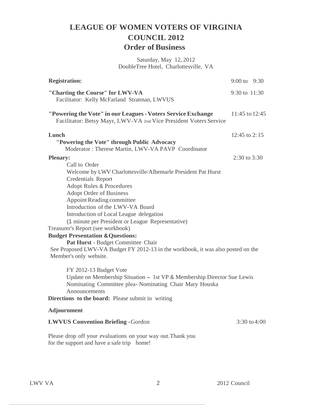# **LEAGUE OF WOMEN VOTERS OF VIRGINIA COUNCIL 2012 Order of Business**

Saturday, May 12, 2012 DoubleTree Hotel, Charlottesville, VA

| <b>Registration:</b>                                                                                                                                                                                                                                                                                                                                                                                                                                                                                                                                                                                     | $9:00 \text{ to } 9:30$ |              |
|----------------------------------------------------------------------------------------------------------------------------------------------------------------------------------------------------------------------------------------------------------------------------------------------------------------------------------------------------------------------------------------------------------------------------------------------------------------------------------------------------------------------------------------------------------------------------------------------------------|-------------------------|--------------|
| "Charting the Course" for LWV-VA<br>Facilitator: Kelly McFarland Stratman, LWVUS                                                                                                                                                                                                                                                                                                                                                                                                                                                                                                                         | $9:30$ to $11:30$       |              |
| "Powering the Vote" in our Leagues - Voters Service Exchange<br>Facilitator: Betsy Mayr, LWV-VA 2nd Vice President Voters Service                                                                                                                                                                                                                                                                                                                                                                                                                                                                        | 11:45 to 12:45          |              |
| Lunch<br>"Powering the Vote" through Public Advocacy<br>Moderator: Therese Martin, LWV-VA PAVP Coordinator                                                                                                                                                                                                                                                                                                                                                                                                                                                                                               | 12:45 to 2:15           |              |
| <b>Plenary:</b><br>Call to Order<br>Welcome by LWV Charlottesville/Albemarle President Pat Hurst<br><b>Credentials Report</b><br><b>Adopt Rules &amp; Procedures</b><br>Adopt Order of Business<br>Appoint Reading committee<br>Introduction of the LWV-VA Board<br>Introduction of Local League delegation<br>(1 minute per President or League Representative)<br>Treasurer's Report (see workbook)<br><b>Budget Presentation &amp; Questions:</b><br>Pat Hurst - Budget Committee Chair<br>See Proposed LWV-VA Budget FY 2012-13 in the workbook, it was also posted on the<br>Member's only website. | $2:30$ to $3:30$        |              |
| FY 2012-13 Budget Vote<br>Update on Membership Situation - 1st VP & Membership Director Sue Lewis<br>Nominating Committee plea- Nominating Chair Mary Houska<br>Announcements<br>Directions to the board: Please submit in writing<br><b>Adjournment</b>                                                                                                                                                                                                                                                                                                                                                 |                         |              |
| <b>LWVUS Convention Briefing - Gordon</b>                                                                                                                                                                                                                                                                                                                                                                                                                                                                                                                                                                |                         | 3:30 to 4:00 |
| Please drop off your evaluations on your way out. Thank you<br>for the support and have a safe trip home!                                                                                                                                                                                                                                                                                                                                                                                                                                                                                                |                         |              |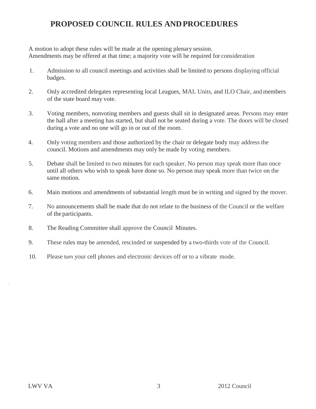# **PROPOSED COUNCIL RULES ANDPROCEDURES**

A motion to adopt these rules will be made at the opening plenary session. Amendments may be offered at that time; a majority vote will be required for consideration

- 1. Admission to all council meetings and activities shall be limited to persons displaying official badges.
- 2. Only accredited delegates representing local Leagues, MAL Units, and ILO Chair, and members of the state board may vote.
- 3. Voting members, nonvoting members and guests shall sit in designated areas. Persons may enter the hall after a meeting has started, but shall not be seated during a vote. The doors will be closed during a vote and no one will go in or out of the room.
- 4. Only voting members and those authorized by the chair or delegate body may address the council. Motions and amendments may only be made by voting members.
- 5. Debate shall be limited to two minutes for each speaker. No person may speak more than once until all others who wish to speak have done so. No person may speak more than twice on the same motion.
- 6. Main motions and amendments of substantial length must be in writing and signed by the mover.
- 7. No announcements shall be made that do not relate to the business of the Council or the welfare of the participants.
- 8. The Reading Committee shall approve the Council Minutes.
- 9. These rules may be amended, rescinded or suspended by a two-thirds vote of the Council.
- 10. Please turn your cell phones and electronic devices off or to a vibrate mode.

.: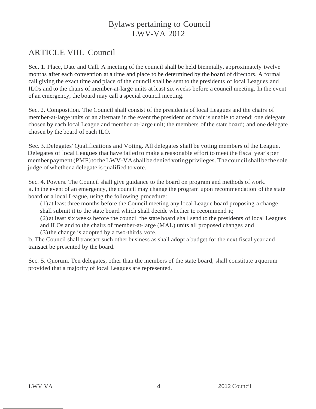# Bylaws pertaining to Council LWV-VA 2012

# ARTICLE VIII. Council

Sec. 1. Place, Date and Call. A meeting of the council shall be held biennially, approximately twelve months after each convention at a time and place to be determined by the board of directors. A formal call giving the exact time and place of the council shall be sent to the presidents of local Leagues and ILOs and to the chairs of member-at-large units at least six weeks before a council meeting. In the event of an emergency, the board may call a special council meeting.

Sec. 2. Composition. The Council shall consist of the presidents of local Leagues and the chairs of member-at-large units or an alternate in the event the president or chair is unable to attend; one delegate chosen by each local League and member-at-large unit; the members of the state board; and one delegate chosen by the board of each ILO.

Sec. 3. Delegates' Qualifications and Voting. All delegates shall be voting members of the League. Delegates of local Leagues that have failed to make a reasonable effort to meet the fiscal year's per member payment (PMP) to the LWV-VA shall be denied voting privileges. The council shall be the sole judge of whether a delegate is qualified to vote.

Sec. 4. Powers. The Council shall give guidance to the board on program and methods of work. a. in the event of an emergency, the council may change the program upon recommendation of the state board or a local League, using the following procedure:

(1) at least three months before the Council meeting any local League board proposing a change shall submit it to the state board which shall decide whether to recommend it;

(2) at least six weeks before the council the state board shall send to the presidents of local Leagues

and ILOs and to the chairs of member-at-large (MAL) units all proposed changes and

(3)the change is adopted by a two-thirds vote.

b. The Council shall transact such other business as shall adopt a budget for the next fiscal year and transact be presented by the board.

Sec. 5. Quorum. Ten delegates, other than the members of the state board, shall constitute a quorum provided that a majority of local Leagues are represented.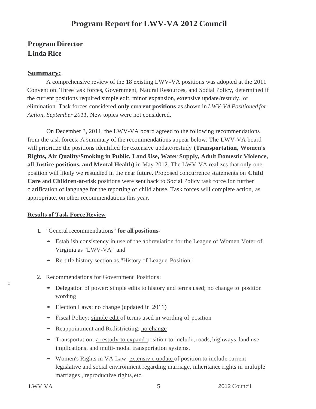# **Program Report for LWV-VA 2012 Council**

# **Program Director Linda Rice**

### **Summary:**

A comprehensive review of the 18 existing LWV-VA positions was adopted at the 2011 Convention. Three task forces, Government, Natural Resources, and Social Policy, determined if the current positions required simple edit, minor expansion, extensive update/restudy, or elimination. Task forces considered **only current positions** as shown in *LWV-VA Positioned for Action, September 2011.* New topics were not considered.

On December 3, 2011, the LWV-VA board agreed to the following recommendations from the task forces. A summary of the recommendations appear below. The LWV-VA board will prioritize the positions identified for extensive update/restudy **(Transportation, Women's Rights, Air Quality/Smoking in Public, Land Use, Water Supply, Adult Domestic Violence, all Justice positions, and Mental Health)** in May 2012. The LWV-VA realizes that only one position will likely we restudied in the near future. Proposed concurrence statements on **Child Care** and **Children-at-risk** positions were sent back to Social Policy task force for further clarification of language for the reporting of child abuse. Task forces will complete action, as appropriate, on other recommendations this year.

### **Results of Task Force Review**

- **1.** "General recommendations" **for all positions-**
	- Establish consistency in use of the abbreviation for the League of Women Voter of Virginia as "LWV-VA" and
	- Re-title history section as "History of League Position"
- 2. Recommendations for Government Positions:
	- Delegation of power: simple edits to history and terms used; no change to position wording
	- Election Laws: no change (updated in 2011)
	- Fiscal Policy: simple edit of terms used in wording of position
	- Reappointment and Redistricting: no change
	- Transportation: a restudy to expand position to include, roads, highways, land use implications, and multi-modal transportation systems.
	- Women's Rights in VA Law: extensive update of position to include current legislative and social environment regarding marriage, inheritance rights in multiple marriages , reproductive rights,etc.

:<br>: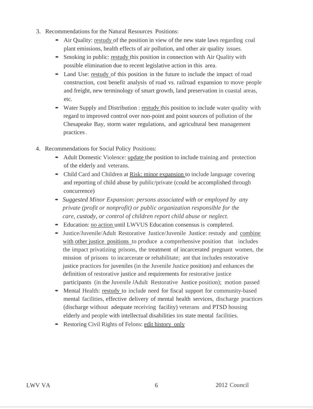- 3. Recommendations for the Natural Resources Positions:
	- Air Quality: restudy of the position in view of the new state laws regarding coal plant emissions, health effects of air pollution, and other air quality issues.
	- Smoking in public: restudy this position in connection with Air Quality with possible elimination due to recent legislative action in this area.
	- Land Use: restudy of this position in the future to include the impact of road construction, cost benefit analysis of road vs. railroad expansion to move people and freight, new terminology of smart growth, land preservation in coastal areas, etc.
	- Water Supply and Distribution : restudy this position to include water quality with regard to improved control over non-point and point sources of pollution of the Chesapeake Bay, storm water regulations, and agricultural best management practices.
- 4. Recommendations for Social Policy Positions:
	- Adult Domestic Violence: update the position to include training and protection of the elderly and veterans.
	- Child Card and Children at Risk: minor expansion to include language covering and reporting of child abuse by public/private (could be accomplished through concurrence)
	- *Suggested Minor Expansion: persons associated with or employed by any private (profit or nonprofit) or public organization responsible for the care, custody, or control of children report child abuse or neglect.*
	- Education: no action until LWVUS Education consensus is completed.
	- Justice/Juvenile/Adult Restorative Justice/Juvenile Justice: restudy and combine with other justice positions to produce a comprehensive position that includes the impact privatizing prisons, the treatment of incarcerated pregnant women, the mission of prisons to incarcerate or rehabilitate; ant that includes restorative justice practices for juveniles (in the Juvenile Justice position) and enhances the definition of restorative justice and requirements for restorative justice participants (in the Juvenile *I*Adult Restorative Justice position); motion passed
	- Mental Health: restudy to include need for fiscal support for community-based mental facilities, effective delivery of mental health services, discharge practices (discharge without adequate receiving facility) veterans and PTSD housing elderly and people with intellectual disabilities ins state mental facilities.
	- Restoring Civil Rights of Felons: edit history only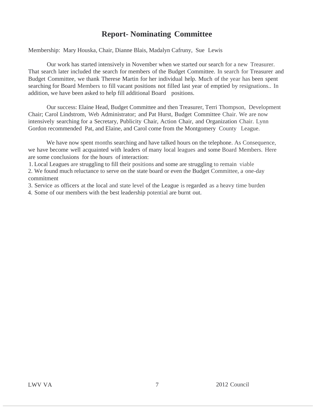# **Report- Nominating Committee**

Membership: Mary Houska, Chair, Dianne Blais, Madalyn Cafruny, Sue Lewis

Our work has started intensively in November when we started our search for a new Treasurer. That search later included the search for members of the Budget Committee. In search for Treasurer and Budget Committee, we thank Therese Martin for her individual help. Much of the year has been spent searching for Board Members to fill vacant positions not filled last year of emptied by resignations.. In addition, we have been asked to help fill additional Board positions.

Our success: Elaine Head, Budget Committee and then Treasurer, Terri Thompson, Development Chair; Carol Lindstrom, Web Administrator; and Pat Hurst, Budget Committee Chair. We are now intensively searching for a Secretary, Publicity Chair, Action Chair, and Organization Chair. Lynn Gordon recommended Pat, and Elaine, and Carol come from the Montgomery County League.

We have now spent months searching and have talked hours on the telephone. As Consequence, we have become well acquainted with leaders of many local leagues and some Board Members. Here are some conclusions for the hours of interaction:

1. Local Leagues are struggling to fill their positions and some are struggling to remain viable

2. We found much reluctance to serve on the state board or even the Budget Committee, a one-day commitment

3. Service as officers at the local and state level of the League is regarded as a heavy time burden

4. Some of our members with the best leadership potential are burnt out.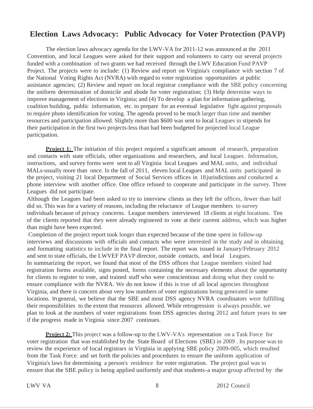# **Election Laws Advocacy: Public Advocacy for Voter Protection (PAVP)**

The election laws advocacy agenda for the LWV-VA for 2011-12 was announced at the 2011 Convention, and local Leagues were asked for their support and volunteers to carry out several projects funded with a combination of two grants we had received through the LWV Education Fund PAVP Project. The projects were to include: (1) Review and report on Virginia's compliance with section 7 of the National Voting Rights Act (NVRA) with regard to voter registration opportunities at public assistance agencies; (2) Review and report on local registrar compliance with the SBE policy concerning the uniform determination of domicile and abode for voter registration; (3) Help determine ways to improve management of elections in Virginia; and (4) To develop a plan for information gathering, coalition building, public information, etc. to prepare for an eventual legislative fight against proposals to require photo identification for voting. The agenda proved to be much larger than time and member resources and participation allowed. Slightly more than \$600 was sent to local Leagues in stipends for their participation in the first two projects-less than had been budgeted for projected local League participation.

**Project 1:** The initiation of this project required a significant amount of research, preparation and contacts with state officials, other organizations and researchers, and local Leagues. Information, instructions, and survey forms were sent to all Virginia local Leagues and MAL units, and individual MALs-usually more than once. In the fall of 2011, eleven local Leagues and MAL units participated in the project, visiting 21 local Department of Social Services offices in 18jurisdictions and conducted a phone interview with another office. One office refused to cooperate and participate in the survey. Three Leagues did not participate.

Although the Leagues had been asked to try to interview clients as they left the offices, fewer than half did so. This was for a variety of reasons, including the reluctance of League members to survey individuals because of privacy concerns. League members interviewed 18 clients at eight locations. Ten of the clients reported that they were already registered to vote at their current address, which was higher than might have been expected.

Completion of the project report took longer than expected because of the time spent in follow-up interviews and discussions with officials and contacts who were interested in the study and in obtaining and formatting statistics to include in the final report. The report was issued in January/February 2012 and sent to state officials, the LWVEF PAVP director, outside contacts, and local Leagues. In summarizing the report, we found that most of the DSS offices that League members visited had registration forms available, signs posted, forms containing the necessary elements about the opportunity for clients to register to vote, and trained staff who were conscientious and doing what they could to ensure compliance with the NVRA. We do not know if this is true of all local agencies throughout Virginia, and there is concern about very low numbers of voter registrations being generated in some locations. In general, we believe that the SBE and most DSS agency NVRA coordinators were fulfilling their responsibilities to the extent that resources allowed. While retrogression is always possible, we plan to look at the numbers of voter registrations from DSS agencies during 2012 and future years to see if the progress made in Virginia since 2007 continues.

**Project 2:** This project was a follow-up to the LWV-VA's representation on a Task Force for voter registration that was established by the State Board of Elections (SBE) in 2009 . Its purpose was to review the experience of local registrars in Virginia in applying SBE policy 2009-005, which resulted from the Task Force, and set forth the policies and procedures to ensure the uniform application of Virginia's laws for determining a person's residence for voter registration. The project goal was to ensure that the SBE policy is being applied uniformly and that students-a major group affected by the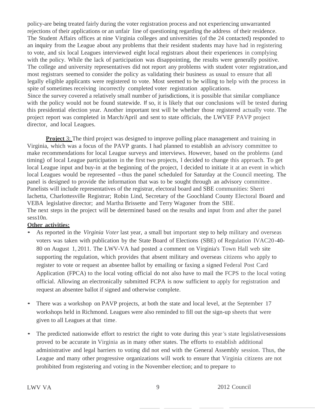policy-are being treated fairly during the voter registration process and not experiencing unwarranted rejections of their applications or an unfair line of questioning regarding the address of their residence. The Student Affairs offices at nine Virginia colleges and universities (of the 24 contacted) responded to an inquiry from the League about any problems that their resident students may have had in registering to vote, and six local Leagues interviewed eight local registrars about their experiences in complying with the policy. While the lack of participation was disappointing, the results were generally positive. The college and university representatives did not report any problems with student voter registration,and most registrars seemed to consider the policy as validating their business as usual to ensure that all legally eligible applicants were registered to vote. Most seemed to be willing to help with the process in spite of sometimes receiving incorrectly completed voter registration applications. Since the survey covered a relatively small number of jurisdictions, it is possible that similar compliance with the policy would not be found statewide. If so, it is likely that our conclusions will be tested during this presidential election year. Another important test will be whether those registered actually vote. The project report was completed in March/April and sent to state officials, the LWVEF PAVP project director, and local Leagues.

**Project 3:** The third project was designed to improve polling place management and training in Virginia, which was a focus of the PAVP grants. I had planned to establish an advisory committee to make recommendations for local League surveys and interviews. However, based on the problems (and timing) of local League participation in the first two projects, I decided to change this approach. To get local League input and buy-in at the beginning of the project, I decided to initiate it at an event in which local Leagues would be represented -thus the panel scheduled for Saturday at the Council meeting. The panel is designed to provide the information that was to be sought through an advisory committee . Panelists will include representatives of the registrar, electoral board and SBE communities: Sherri Iachetta, Charlottesville Registrar; Robin Lind, Secretary of the Goochland County Electoral Board and VEBA legislative director; and Martha Brissette and Terry Wagoner from the SBE. The next steps in the project will be determined based on the results and input from and after the panel sess<sub>10n.</sub>

### **Other activities:**

- As reported in the *Virginia Voter* last year, a small but important step to help military and overseas voters was taken with publication by the State Board of Elections (SBE) of Regulation IVAC20-40- 80 on August 1, 2011. The LWV-VA had posted a comment on Virginia's Town Hall web site supporting the regulation, which provides that absent military and overseas citizens who apply to register to vote or request an absentee ballot by emailing or faxing a signed Federal Post Card Application (FPCA) to the local voting official do not also have to mail the FCPS to the local voting official. Allowing an electronically submitted FCPA is now sufficient to apply for registration and request an absentee ballot if signed and otherwise complete.
- There was a workshop on PAVP projects, at both the state and local level, at the September 17 workshops held in Richmond. Leagues were also reminded to fill out the sign-up sheets that were given to all Leagues at that time.
- The predicted nationwide effort to restrict the right to vote during this year 's state legislatives essions proved to be accurate in Virginia as in many other states. The efforts to establish additional administrative and legal barriers to voting did not end with the General Assembly session. Thus, the League and many other progressive organizations will work to ensure that Virginia citizens are not prohibited from registering and voting in the November election; and to prepare to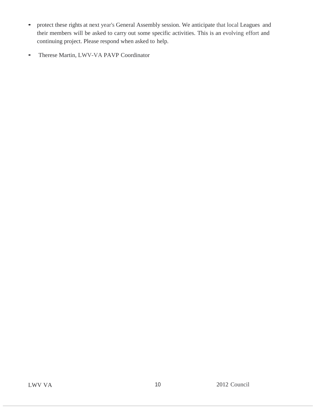- protect these rights at next year's General Assembly session. We anticipate that local Leagues and their members will be asked to carry out some specific activities. This is an evolving effort and continuing project. Please respond when asked to help.
- Therese Martin, LWV-VA PAVP Coordinator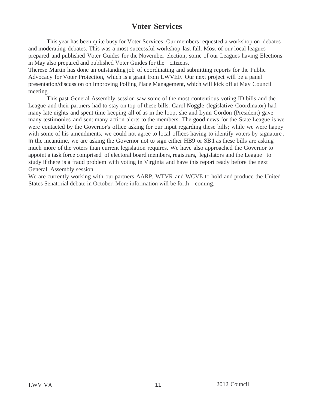# **Voter Services**

This year has been quite busy for Voter Services. Our members requested a workshop on debates and moderating debates. This was a most successful workshop last fall. Most of our local leagues prepared and published Voter Guides for the November election; some of our Leagues having Elections in May also prepared and published Voter Guides for the citizens.

Therese Martin has done an outstanding job of coordinating and submitting reports for the Public Advocacy for Voter Protection, which is a grant from LWVEF. Our next project will be a panel presentation/discussion on Improving Polling Place Management, which will kick off at May Council meeting.

This past General Assembly session saw some of the most contentious voting ID bills and the League and their partners had to stay on top of these bills. Carol Noggle (legislative Coordinator) had many late nights and spent time keeping all of us in the loop; she and Lynn Gordon (President) gave many testimonies and sent many action alerts to the members. The good news for the State League is we were contacted by the Governor's office asking for our input regarding these bills; while we were happy with some of his amendments, we could not agree to local offices having to identify voters by signature. In the meantime, we are asking the Governor not to sign either HB9 or SB1 as these bills are asking much more of the voters than current legislation requires. We have also approached the Governor to appoint a task force comprised of electoral board members, registrars, legislators and the League to study if there is a fraud problem with voting in Virginia and have this report ready before the next General Assembly session.

We are currently working with our partners AARP, WTVR and WCVE to hold and produce the United States Senatorial debate in October. More information will be forth coming.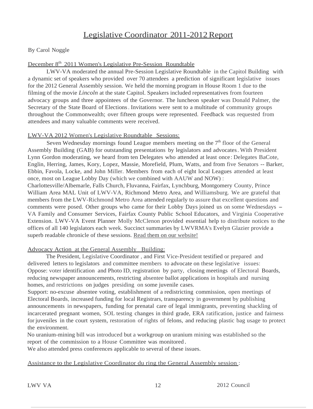# Legislative Coordinator 2011-2012Report

By Carol Noggle

### December 8<sup>th</sup> 2011 Women's Legislative Pre-Session Roundtable

LWV-VA moderated the annual Pre-Session Legislative Roundtable in the Capitol Building with a dynamic set of speakers who provided over 70 attendees a prediction of significant legislative issues for the 2012 General Assembly session. We held the morning program in House Room 1 due to the filming of the movie *Lincoln* at the state Capitol. Speakers included representatives from fourteen advocacy groups and three appointees of the Governor. The luncheon speaker was Donald Palmer, the Secretary of the State Board of Elections. Invitations were sent to a multitude of community groups throughout the Commonwealth; over fifteen groups were represented. Feedback was requested from attendees and many valuable comments were received.

### LWV-VA 2012 Women's Legislative Roundtable Sessions:

Seven Wednesday mornings found League members meeting on the  $7<sup>th</sup>$  floor of the General Assembly Building (GAB) for outstanding presentations by legislators and advocates.With President Lynn Gordon moderating, we heard from ten Delegates who attended at least once: Delegates BaCote, Englin, Herring, James, Kory, Lopez, Massie, Morefield, Plum, Watts, and from five Senators -- Barker, Ebbin, Favola, Locke, and John Miller. Members from each of eight local Leagues attended at least once, most on League Lobby Day (which we combined with AAUW and NOW) : Charlottesville/Albemarle, Falls Church, Fluvanna, Fairfax, Lynchburg, Montgomery County, Prince William Area MAL Unit of LWV-VA, Richmond Metro Area, and Williamsburg. We are grateful that members from the LWV-Richmond Metro Area attended regularly to assure that excellent questions and comments were posed. Other groups who came for their Lobby Days joined us on some Wednesdays – VA Family and Consumer Services, Fairfax County Public School Educators, and Virginia Cooperative Extension. LWV-VA Event Planner Molly McClenon provided essential help to distribute notices to the offices of all 140 legislators each week. Succinct summaries by LWVRMA's Evelyn Glazier provide a superb readable chronicle of these sessions. Read them on our website!

### Advocacy Action at the General Assembly Building:

The President, Legislative Coordinator , and First Vice-President testified or prepared and delivered letters to legislators and committee members to advocate on these legislative issues: Oppose: voter identification and Photo ID, registration by party, closing meetings of Electoral Boards, reducing newspaper announcements, restricting absentee ballot applications in hospitals and nursing homes, and restrictions on judges presiding on some juvenile cases.

Support: no-excuse absentee voting, establishment of a redistricting commission, open meetings of Electoral Boards, increased funding for local Registrars, transparency in government by publishing announcements in newspapers, funding for prenatal care of legal immigrants, preventing shackling of incarcerated pregnant women, SOL testing changes in third grade, ERA ratification, justice and fairness for juveniles in the court system, restoration of rights of felons, and reducing plastic bag usage to protect the environment.

No uranium-mining bill was introduced but a workgroup on uranium mining was established so the report of the commission to a House Committee was monitored .

We also attended press conferences applicable to several of these issues.

### Assistance to the Legislative Coordinator du ring the General Assembly session :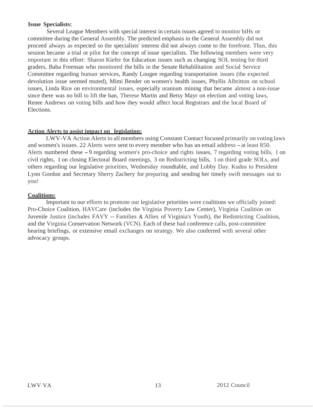### **Issue Specialists:**

Several League Members with special interest in certain issues agreed to monitor biHs or committee during the General Assembly. The predicted emphasis in the General Assembly did not proceed always as expected so the specialists' interest did not always come to the forefront. Thus, this session became a trial or pilot for the concept of issue specialists. The following members were very important in this effort: Sharon Kiefer for Education issues such as changing SOL testing for third graders, Baba Freeman who monitored the bills in the Senate Rehabilitation and Social Service Committee regarding human services, Randy Lougee regarding transportation issues (the expected devolution issue seemed muted), Mimi Bender on women's health issues, Phyllis Albritton on school issues, Linda Rice on environmental issues, especially uranium mining that became almost a non-issue since there was no bill to lift the ban, Therese Martin and Betsy Mayr on election and voting laws, Renee Andrews on voting bills and how they would affect local Registrars and the local Board of Elections.

#### **Action Alerts to assist impact on legislation:**

LWV-VA Action Alerts to all members using Constant Contact focused primarily on voting laws and women's issues. <sup>22</sup> Alerts were sent to every member who has an email address -at least 850. Alerts numbered these -9 regarding women's pro-choice and rights issues, <sup>7</sup> regarding voting bills, <sup>1</sup> on civil rights, 1 on closing Electoral Board meetings, 3 on Redistricting bills, 1 on third grade SOLs, and others regarding our legislative priorities, Wednesday roundtable, and Lobby Day. Kudos to President Lynn Gordon and Secretary Sherry Zachery for preparing and sending her timely swift messages out to you!

### **Coalitions:**

Important to our efforts to promote our legislative priorities were coalitions we officially joined: Pro-Choice Coalition, HAVCare (includes the Virginia Poverty Law Center), Virginia Coalition on Juvenile Justice (includes FAVY -- Families & Allies of Virginia's Youth), the Redistricting Coalition, and the Virginia Conservation Network (VCN). Each of these had conference calls, post-committee hearing briefings, or extensive email exchanges on strategy. We also conferred with several other advocacy groups.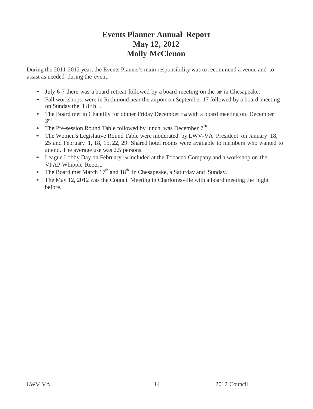# **Events Planner Annual Report May 12, 2012 Molly McClenon**

During the 2011-2012 year, the Events Planner's main responsibility was to recommend a venue and to assist as needed during the event.

- July 6-7 there was a board retreat followed by a board meeting on the 8th in Chesapeake.
- Fall workshops, were in Richmond near the airport on September 17 followed by a board meeting on Sunday the  $18th$ .
- The Board met in Chantilly for dinner Friday December 2nd with a board meeting on December 3 rd.
- The Pre-session Round Table followed by lunch, was December  $7<sup>th</sup>$ .
- The Women's Legislative Round Table were moderated by LWV-VA President on January 18, 25 and February 1, 18, 15, 22, 29. Shared hotel rooms were available to members who wanted to attend. The average use was 2.5 persons.
- League Lobby Day on February 1st included at the Tobacco Company and a workshop on the VPAP Whipple Report.
- The Board met March  $17<sup>th</sup>$  and  $18<sup>th</sup>$  in Chesapeake, a Saturday and Sunday.
- The May 12, 2012 was the Council Meeting in Charlottesville with a board meeting the night before.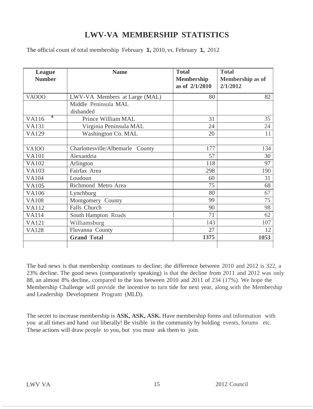# **LWV-VA MEMBERSHIP STATISTICS**

The official count of total membership February **1,** 2010, vs. February **1,** 2012

| <b>League</b><br><b>Number</b> | <b>Name</b>                       | <b>Total</b><br><b>Membership</b><br>as of 2/1/2010 | <b>Total</b><br>Membership as of<br>2/1/2012 |
|--------------------------------|-----------------------------------|-----------------------------------------------------|----------------------------------------------|
| <b>VA000</b>                   | LWV-VA Members at Large (MAL)     | 80                                                  | 82                                           |
|                                | Middle Peninsula MAL<br>disbanded |                                                     |                                              |
| *<br><b>VA116</b>              | Prince William MAL                | 31                                                  | 35                                           |
| <b>VA131</b>                   | Virginia Peninsula MAL            | 24                                                  | 24                                           |
| <b>VA129</b>                   | Washington Co. MAL                | 20                                                  | 11                                           |
|                                |                                   |                                                     |                                              |
| <b>VAIOO</b>                   | Charlottesville/Albemarle County  | 177                                                 | 134                                          |
| <b>VA101</b>                   | Alexandria                        | 57                                                  | 30                                           |
| <b>VA102</b>                   | Arlington                         | 118                                                 | 97                                           |
| <b>VA103</b>                   | Fairfax Area                      | 298                                                 | 190                                          |
| <b>VA104</b>                   | Loudoun                           | 60                                                  | 31                                           |
| <b>VA105</b>                   | Richmond Metro Area               | 75                                                  | 68                                           |
| <b>VA106</b>                   | Lynchburg                         | 80                                                  | 67                                           |
| <b>VA108</b>                   | Montgomery County                 | 99                                                  | 75                                           |
| <b>VA112</b>                   | Falls Church                      | 90                                                  | 98                                           |
| <b>VA114</b>                   | South Hampton Roads               | 71                                                  | 62                                           |
| <b>VA121</b>                   | Williamsburg                      | 143                                                 | 107                                          |
| <b>VA128</b>                   | Fluvanna County                   | 27                                                  | 12                                           |
|                                | <b>Grand Total</b>                | 1375                                                | 1053                                         |
|                                |                                   |                                                     |                                              |

The bad news is that membership continues to decline; the difference between 2010 and 2012 is 322, a 23% decline. The good news (comparatively speaking) is that the decline from 2011 and 2012 was only 88, an almost 8% decline, compared to the loss between 2010 and 2011 of 234 (17%). We hope the Membership Challenge will provide the incentive to turn tide for next year, along with the Membership and Leadership Development Program (MLD).

The secret to increase membership is **ASK, ASK, ASK.** Have membership forms and information with you at all times and hand out liberally! Be visible in the community by holding events, forums etc. These actions will draw people to you, but you must ask them to join.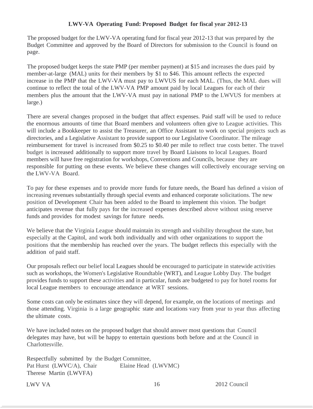### **LWV-VA Operating Fund: Proposed Budget for fiscal year 2012-13**

The proposed budget for the LWV-VA operating fund for fiscal year 2012-13 that was prepared by the Budget Committee and approved by the Board of Directors for submission to the Council is found on page.

The proposed budget keeps the state PMP (per member payment) at \$15 and increases the dues paid by member-at-large (MAL) units for their members by \$1 to \$46. This amount reflects the expected increase in the PMP that the LWV-VA must pay to LWVUS for each MAL. (Thus, the MAL dues will continue to reflect the total of the LWV-VA PMP amount paid by local Leagues for each of their members plus the amount that the LWV-VA must pay in national PMP to the LWVUS for members at large.)

There are several changes proposed in the budget that affect expenses. Paid staff will be used to reduce the enormous amounts of time that Board members and volunteers often give to League activities. This will include a Bookkeeper to assist the Treasurer, an Office Assistant to work on special projects such as directories, and a Legislative Assistant to provide support to our Legislative Coordinator. The mileage reimbursement for travel is increased from \$0.25 to \$0.40 per mile to reflect true costs better. The travel budget is increased additionally to support more travel by Board Liaisons to local Leagues. Board members will have free registration for workshops, Conventions and Councils, because they are responsible for putting on these events. We believe these changes will collectively encourage serving on the LWV-VA Board.

To pay for these expenses and to provide more funds for future needs, the Board has defined a vision of increasing revenues substantially through special events and enhanced corporate solicitations. The new position of Development Chair has been added to the Board to implement this vision. The budget anticipates revenue that fully pays for the increased expenses described above without using reserve funds and provides for modest savings for future needs.

We believe that the Virginia League should maintain its strength and visibility throughout the state, but especially at the Capitol, and work both individually and with other organizations to support the positions that the membership has reached over the years. The budget reflects this especially with the addition of paid staff.

Our proposals reflect our belief local Leagues should be encouraged to participate in statewide activities such as workshops, the Women's Legislative Roundtable (WRT), and League Lobby Day. The budget provides funds to support these activities and in particular, funds are budgeted to pay for hotel rooms for local League members to encourage attendance at WRT sessions.

Some costs can only be estimates since they will depend, for example, on the locations of meetings and those attending. Virginia is a large geographic state and locations vary from year to year thus affecting the ultimate costs.

We have included notes on the proposed budget that should answer most questions that Council delegates may have, but will be happy to entertain questions both before and at the Council in Charlottesville.

Respectfully submitted by the Budget Committee, Pat Hurst (LWVC/A), Chair Elaine Head (LWVMC) Therese Martin (LWVFA)

 $LWVVA$  16 2012 Council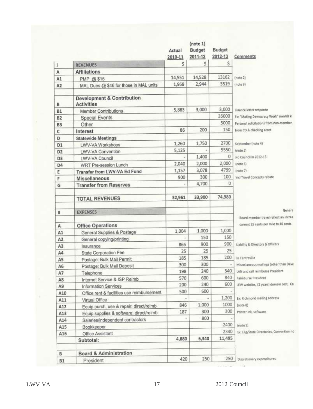|                |                                                            | Actual<br>2010-11 | (note 1)<br>Budget<br>2011-12 | Budget<br>2012-13 | Comments                                                                        |
|----------------|------------------------------------------------------------|-------------------|-------------------------------|-------------------|---------------------------------------------------------------------------------|
| r              | <b>REVENUES</b>                                            | \$                | S                             | Ś                 |                                                                                 |
| A              | <b>Affiliations</b>                                        |                   |                               |                   |                                                                                 |
| A1             | PMP @ \$15                                                 | 14,551            | 14,528                        | 13162             | [note 2]                                                                        |
| A <sub>2</sub> | MAL Dues @ \$46 for those in MAL units                     | 1,959             | 2,944                         | 3519              | [note 3]                                                                        |
| B              | <b>Development &amp; Contribution</b><br><b>Activities</b> |                   |                               |                   |                                                                                 |
| <b>B1</b>      | Member Contributions                                       | 5,883             | 3,000                         | 3,000             | Finance letter response                                                         |
| <b>B2</b>      | <b>Special Events</b>                                      |                   |                               | 35000             | Ex: "Making Democracy Work" awards e                                            |
| <b>B3</b>      | Other.                                                     |                   |                               | 5000              | Personal solicitations from non-member                                          |
| c              | Interest                                                   | 86                | 200                           | 150               | from CD & checking accrit                                                       |
| D              | <b>Statewide Meetings</b>                                  |                   |                               |                   |                                                                                 |
| D1             | LWV-VA Workshops                                           | 1,260             | 1,750                         | 2700              | September (note 4)                                                              |
| D <sub>2</sub> | LWV-VA Convention                                          | 5,125             |                               | 5550              | (note 5)                                                                        |
| D <sub>3</sub> | LWV-VA Council                                             |                   | 1,400                         | 0                 | No Council in 2012-13                                                           |
| D <sub>4</sub> | WRT Pre-session Lunch                                      | 2,040             | 2,000                         | 2,000             | [note 6]                                                                        |
| Ε              | Transfer from LWV-VA Ed Fund                               | 1,157             | 3,078                         | 4799              | (note 7)                                                                        |
| F              | Miscellaneous                                              | 900               | 300                           | 100               | incl Travel Concepts rebate                                                     |
| G              | <b>Transfer from Reserves</b>                              |                   | 4,700                         | 0                 |                                                                                 |
|                | <b>TOTAL REVENUES</b>                                      | 32,961            | 33,900                        | 74,980            |                                                                                 |
| Ш              | <b>EXPENSES</b>                                            |                   |                               |                   | Genera                                                                          |
|                |                                                            |                   |                               |                   | Board member travel reflect an increa-<br>current 25 cents per mile to 40 cents |
| A              | <b>Office Operations</b>                                   | 1,004             | 1,000                         | 1,000             |                                                                                 |
| A1             | General Supplies & Postage                                 |                   | 150                           | 150               |                                                                                 |
| A <sub>2</sub> | General copying/printing                                   | 865               | 900                           | 900               | Liability & Directors & Officers                                                |
| A <sub>3</sub> | Insurance                                                  | 25                | 25                            | 25                |                                                                                 |
| A4             | <b>State Corporation Fee</b>                               | 185               | 185                           | 200               | In Centreville                                                                  |
| A5             | Postage: Bulk Mail Permit                                  | 300               | 300                           |                   | Miscellaneous mailings (other than Deve                                         |
| A6             | Postage: Bulk Mail Deposit                                 | 198               | 240                           | 540               | LAN and cell reimburse President                                                |
| A7             | Telephone                                                  | 570               | 600                           | 840               | Reimburse President                                                             |
| A8             | Internet Service & ISP Reimb                               | 200               | 240                           | 600               | LEW website, (2 years) domain cost, Co                                          |
| A9             | <b>Information Services</b>                                | 500               | 600                           |                   |                                                                                 |
| A10            | Office rent & facilities use reimbursement                 |                   |                               | 1,200             | Ex: Richmond mailing address                                                    |
| A11            | Virtual Office                                             | 846               | 1,000                         | 1000              | (note 8).                                                                       |
| A12            | Equip purch, use & repair: direct/reimb                    | 187               | 300                           | 300               | Printer ink, software                                                           |
| A13            | Equip supplies & software: direct/reimb                    |                   | 800                           |                   |                                                                                 |
| A14            | Salaries/independent contractors                           | ×                 |                               | 2400              | (note 9)                                                                        |
| A15            | Bookkeeper                                                 |                   |                               | 2340              |                                                                                 |
| A16            | Office Assistant                                           |                   |                               |                   | Ex: Leg/State Directories, Convention no                                        |
|                | Subtotal:                                                  | 4,880             | 6,340                         | 11,495            |                                                                                 |
| в              | <b>Board &amp; Administration</b>                          |                   |                               |                   |                                                                                 |
| <b>B1</b>      | President                                                  | 420               | 250                           | 250               | Discretionary expenditures                                                      |

LWV VA 17 2012 Council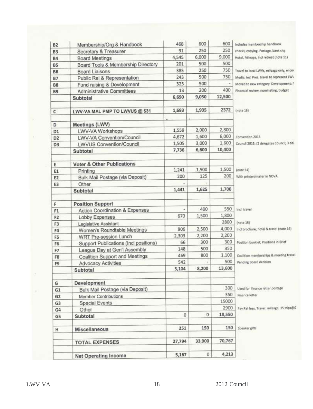| <b>B2</b>      | Membership/Org & Handbook                 | 468          | 600    | 600           | Includes membership handbook               |
|----------------|-------------------------------------------|--------------|--------|---------------|--------------------------------------------|
| <b>B3</b>      | Secretary & Treasurer                     | 91           | 250    | 250           | checks, copying. Postage, bank chg         |
| <b>B4</b>      | <b>Board Meetings</b>                     | 4,545        | 6,000  | 9,000         | Hotel, Mileage, incl retreat (note 11)     |
| <b>B5</b>      | Board Tools & Membership Directory        | 201          | 500    | 500           |                                            |
| <b>B6</b>      | <b>Board Liaisons</b>                     | 385          | 250    | 750           | Travel to local LWVs, mileage only, encor  |
| <b>B7</b>      | Public Rel & Representation               | 243          | 500    | 750           | Media, Incl Pres. travel to represent LWV  |
| <b>B8</b>      | Fund raising & Development                | 325          | 500    |               | Moved to new category. Development: !      |
| <b>B9</b>      | <b>Administrative Committees</b>          | 13           | 200    | 400           | Financial review, nominating, budget       |
|                | Subtotal                                  | 6,690        | 9,050  | 12,500        |                                            |
| c              | LWV-VA MAL PMP TO LWVUS @ \$31            | 1,693        | 1,935  | 2372          | [note 13]                                  |
|                |                                           |              |        |               |                                            |
| D              | Meetings (LWV)                            |              |        |               |                                            |
| D <sub>1</sub> | LWV-VA Workshops                          | 1,559        | 2,000  | 2,800         |                                            |
| D <sub>2</sub> | LWV-VA Convention/Council                 | 4,672        | 1,600  | 6,000         | Convention 2013                            |
| D <sub>3</sub> | LWVUS Convention/Council                  | 1,505        | 3,000  | 1,600         | Council 2013; (2 delegates Council; 3 del  |
|                | Subtotal                                  | 7,736        | 6,600  | 10,400        |                                            |
| E              | <b>Voter &amp; Other Publications</b>     |              |        |               |                                            |
| E1             | Printing                                  | 1,241        | 1,500  | 1,500         | [note 24]                                  |
| E <sub>2</sub> | Bulk Mail Postage (via Deposit)           | 200          | 125    | 200           | With printer/mailer in NOVA                |
| E3             | Other                                     |              |        |               |                                            |
|                | Subtotal                                  | 1,441        | 1,625  | 1,700         |                                            |
| F              | <b>Position Support</b>                   |              |        |               |                                            |
| F <sub>1</sub> | <b>Action Coordination &amp; Expenses</b> |              | 400    | 550           | Incl travel                                |
| F <sub>2</sub> | Lobby Expenses                            | 670          | 1,500  | 1,800         |                                            |
| F3             | Legislative Assistant                     |              |        | 2800          | ${note 15}$                                |
| F4             | Women's Roundtable Meetings               | 906          | 2,500  | 4,000         | Incl brochure, hotel & travel (note 16)    |
| F5             | <b>WRT Pre-session Lunch</b>              | 2,303        | 2,200  | 2,200         |                                            |
| F6             | Support Publications (Incl positions)     | 66           | 300    | 300           | Position booklet; Positions in Brief       |
| F7             | League Day at Gen'l Assembly              | 148          | 500    | 350           |                                            |
| F <sub>8</sub> | Coalition Support and Meetings            | 469          | 800    | 1,100         | Coalition memberships & meeting travel     |
| F <sub>9</sub> | <b>Advocacy Activities</b>                | 542<br>5,104 | 8,200  | 500<br>13,600 | Pending Board decision                     |
|                | Subtotal                                  |              |        |               |                                            |
| G              | Development                               |              |        |               |                                            |
| G <sub>1</sub> | Bulk Mail Postage (via Deposit)           |              |        | 300           | Used for finance letter postage            |
| G2             | Member Contributions                      |              |        | 350           | Finance letter                             |
| G <sub>3</sub> | <b>Special Events</b>                     |              |        | 15000         |                                            |
| G4             | Other                                     |              |        | 2900          | Pay Pal fees, Travel: mileage, 15 trips@\$ |
| G5             | Subtotal                                  | 0            | 0      | 18,550        |                                            |
| н              | Miscellaneous                             | 251          | 150    | 150           | Speaker gifts                              |
|                | <b>TOTAL EXPENSES</b>                     | 27,794       | 33,900 | 70,767        |                                            |
|                | <b>Net Operating Income</b>               | 5,167        | 0      | 4,213         |                                            |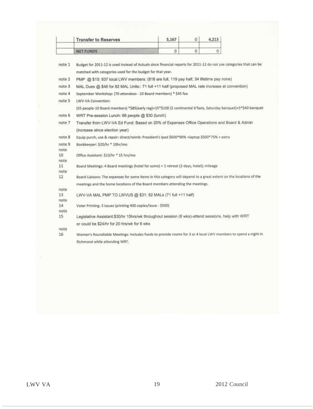|            | <b>Transfer to Reserves</b>                                                                                         | 5,167        | 0        | 4,213        |  |
|------------|---------------------------------------------------------------------------------------------------------------------|--------------|----------|--------------|--|
|            | <b>NET FUNDS</b>                                                                                                    | $\mathbf{0}$ | $\theta$ | $\mathbf{O}$ |  |
|            |                                                                                                                     |              |          |              |  |
| note 1     | Budget for 2011-12 is used instead of Actuals since financial reports for 2011-12 do not use categories that can be |              |          |              |  |
|            | matched with categories used for the budget for that year.                                                          |              |          |              |  |
| note 2     | PMP @ \$15: 937 local LWV members: (818 are full, 119 pay half, 34 lifetime pay none)                               |              |          |              |  |
| note 3     | MAL Dues @ \$46 for 82 MAL Units:: 71 full +11 half (proposed MAL rate increase at convention)                      |              |          |              |  |
| note 4     | September Workshop: (70 attendees - 10 Board members) * \$45 fee                                                    |              |          |              |  |
| note 5     | LWV-VA Convention:                                                                                                  |              |          |              |  |
|            | (55 people-10 Board members) *\$85(early reg)+15*\$100 (2 continental b'fasts, Saturday banquet)+5*\$40 banquet     |              |          |              |  |
| note 6     | WRT Pre-session Lunch: 66 people @ \$30 (lunch)                                                                     |              |          |              |  |
| note 7     | Transfer from LWV-VA Ed Fund: Based on 20% of Expenses Office Operations and Board & Admin                          |              |          |              |  |
|            | (increase since election year)                                                                                      |              |          |              |  |
| note 8     | Equip purch, use & repair: direct/reimb: President's Ipad \$600*90% +laptop \$500*75% + extra                       |              |          |              |  |
| note 9     | Bookkeeper: \$20/hr * 10hr/mo                                                                                       |              |          |              |  |
| note       |                                                                                                                     |              |          |              |  |
| 10         | Office Assistant: \$13/hr * 15 hrs/mo                                                                               |              |          |              |  |
| note<br>11 | Board Meetings: 4 Board meetings (hotel for some) + 1 retreat (2-days, hotel); mileage                              |              |          |              |  |
| note       |                                                                                                                     |              |          |              |  |
| 12         | Board Liaisons: The expenses for some items in this category will depend to a great extent on the locations of the  |              |          |              |  |
|            | meetings and the home locations of the Board members attending the meetings.                                        |              |          |              |  |
| note<br>13 | LWV-VA MAL PMP TO LWVUS @ \$31: 82 MALs (71 full +11 half)                                                          |              |          |              |  |
| note       |                                                                                                                     |              |          |              |  |
| 14         | Voter Printing: 3 issues (printing 400 copies/issue - \$500)                                                        |              |          |              |  |
| note       |                                                                                                                     |              |          |              |  |
| 15         | Legislative Assistant:\$30/hr 15hrs/wk throughout session (6 wks)-attend sessions, help with WRT                    |              |          |              |  |
|            | or could be \$24/hr for 20 hrs/wk for 6 wks                                                                         |              |          |              |  |
| note<br>16 | Women's Roundtable Meetings: Includes funds to provide rooms for 3 or 4 local LWV members to spend a night in       |              |          |              |  |
|            | Richmond while attending WRT.                                                                                       |              |          |              |  |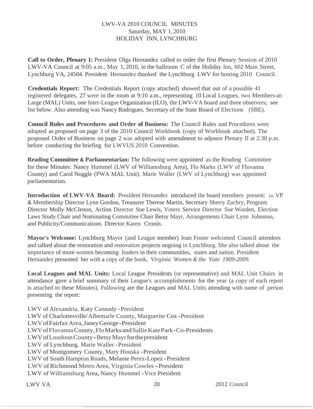### LWV-VA 2010 COUNCIL MINUTES Saturday, MAY 1, 2010 HOLIDAY INN, LYNCHBURG

**Call to Order, Plenary I:** President Olga Hernandez called to order the first Plenary Session of 2010 LWV-VA Council at 9:05 a.m., May 1, 2010, in the ballroom C of the Holiday Inn, 602 Main Street, Lynchburg VA, 24504. President Hernandez thanked the Lynchburg LWV for hosting 2010 Council.

**Credentials Report:** The Credentials Report (copy attached) showed that out of a possible 41 registered delegates, 27 were in the room at 9:10 a.m., representing 10 Local Leagues, two Members-at-Large (MAL) Units, one Inter-League Organization (ILO), the LWV-VA board and three observers; see list below. Also attending was Nancy Rodrigues, Secretary of the State Board of Elections (SBE).

**Council Rules and Procedures and Order of Business:** The Council Rules and Procedures were adopted as proposed on page 3 of the 2010 Council Workbook (copy of Workbook attached). The proposed Order of Business on page 2 was adopted with amendment to adjourn Plenary II at 2:30 p.m. before conducting the briefing for LWVUS 2010 Convention.

**Reading Committee & Parliamentarian:** The following were appointed as the Reading Committee for these Minutes: Nancy Hummel (LWV of Williamsburg Area), Flo Marks (LWV of Fluvanna County) and Carol Noggle (PWA MAL Unit). Marie Waller (LWV of Lynchburg) was appointed parliamentarian.

**Introduction of LWV-VA Board:** President Hernandez introduced the board members present: 1st VP & Membership Director Lynn Gordon, Treasurer Therese Martin, Secretary Sherry Zachry, Program Director Molly McClenon, Action Director Sue Lewis, Voters Service Director Sue Worden, Election Laws Study Chair and Nominating Committee Chair Betsy Mayr, Arrangements Chair Lynn Johnston, and Publicity/Communications Director Karen Cronin.

**Mayor's Welcome:** Lynchburg Mayor (and League member) Joan Foster welcomed Council attendees and talked about the restoration and renovation projects ongoing in Lynchburg. She also talked about the importance of more women becoming leaders in their communities, states and nation. President Hernandez presented her with a copy of the book, *Virginia Women & the Vote 1909-2009.*

**Local Leagues and MAL Units:** Local League Presidents (or representative) and MAL Unit Chairs in attendance gave a brief summary of their League's accomplishments for the year (a copy of each report is attached to these Minutes). Following are the Leagues and MAL Units attending with name of person presenting the report:

LWV of Alexandria, Katy Cannady -President LWV of Charlottesville/Albemarle County, Marguerite Cox -President LWVofFairfaxArea,JaneyGeorge-President LWVofFluvannaCounty,FloMarks andSallieKatePark-Co-Presidents LWVofLoudounCounty-BetsyMayrforthepresident LWV of Lynchburg, Marie Waller -President LWV of Montgomery County, Mary Houska -President LWV of South Hampton Roads, Melanie Perez-Lopez -President LWV of Richmond Metro Area, Virginia Cowles-President LWV of Williamsburg Area, Nancy Hummel -Vice President

LWV VA 20 2012 Council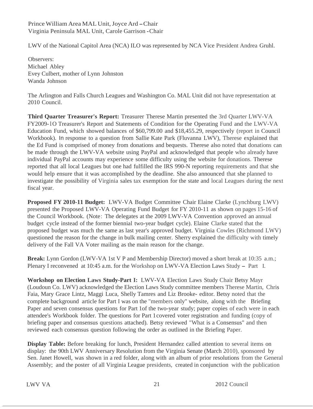### Prince William Area MAL Unit, Joyce Ard - Chair Virginia Peninsula MAL Unit, Carole Garrison -Chair

LWV of the National Capitol Area (NCA) ILO was represented by NCA Vice President Andrea Gruhl.

Observers: Michael Abley Evey Culbert, mother of Lynn Johnston Wanda Johnson

The Arlington and Falls Church Leagues and Washington Co. MAL Unit did not have representation at 2010 Council.

**Third Quarter Treasurer's Report:** Treasurer Therese Martin presented the 3rd Quarter LWV-VA FY2009-lO Treasurer's Report and Statements of Condition for the Operating Fund and the LWV-VA Education Fund, which showed balances of \$60,799.00 and \$18,455.29, respectively (report in Council Workbook). In response to a question from Sallie Kate Park (Fluvanna LWV), Therese explained that the Ed Fund is comprised of money from donations and bequests. Therese also noted that donations can be made through the LWV-VA website using PayPal and acknowledged that people who already have individual PayPal accounts may experience some difficulty using the website for donations. Therese reported that all local Leagues but one had fulfilled the IRS 990-N reporting requirements and that she would help ensure that it was accomplished by the deadline. She also announced that she planned to investigate the possibility of Virginia sales tax exemption for the state and local Leagues during the next fiscal year.

**Proposed FY 2010-11 Budget:** LWV-VA Budget Committee Chair Elaine Clarke (Lynchburg LWV) presented the Proposed LWV-VA Operating Fund Budget for FY 2010-11 as shown on pages 15-16 of the Council Workbook. (Note: The delegates at the 2009 LWV-VA Convention approved an annual budget cycle instead of the former biennial two-year budget cycle). Elaine Clarke stated that the proposed budget was much the same as last year's approved budget. Virginia Cowles (Richmond LWV) questioned the reason for the change in bulk mailing center. Sherry explained the difficulty with timely delivery of the Fall VA Voter mailing as the main reason for the change.

**Break:** Lynn Gordon (LWV-VA 1st V P and Membership Director) moved a short break at 10:35 a.m.; Plenary I reconvened at 10:45 a.m. for the Workshop on LWV-VA Election Laws Study - Part I.

**Workshop on Election Laws Study-Part I:** LWV-VA Election Laws Study Chair Betsy Mayr (Loudoun Co. LWV) acknowledged the Election Laws Study committee members Therese Martin, Chris Faia, Mary Grace Lintz, Maggi Luca, Shelly Tamres and Liz Brooke- editor. Betsy noted that the complete background article for Part I was on the "members only" website, along with the Briefing Paper and seven consensus questions for Part 1of the two-year study; paper copies of each were in each attendee's Workbook folder. The questions for Part 1covered voter registration and funding (copy of briefing paper and consensus questions attached). Betsy reviewed "What is a Consensus" and then reviewed each consensus question following the order as outlined in the Briefing Paper.

**Display Table:** Before breaking for lunch, President Hernandez called attention to several items on display: the 90th LWV Anniversary Resolution from the Virginia Senate (March 2010), sponsored by Sen. Janet Howell, was shown in a red folder, along with an album of prior resolutions from the General Assembly; and the poster of all Virginia League presidents, created in conjunction with the publication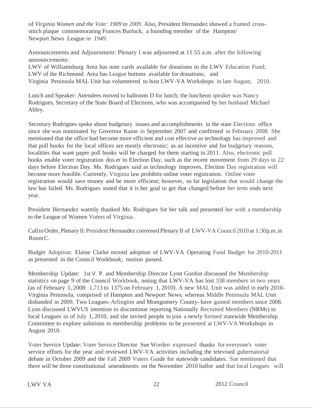of *Virginia Women and the Vote: 1909 to 2009.* Also, President Hernandez showed a framed crossstitch plaque commemorating Frances Burlock, a founding member of the Hampton/ Newport News League in 1949.

Announcements and Adjournment: Plenary I was adjourned at 11:55 a.m. after the following announcements:

LWV of Williamsburg Area has note cards available for donations to the LWV Education Fund; LWV of the Richmond Area has League buttons available for donations; and Virginia Peninsula MAL Unit has volunteered to host LWV-VA Workshops in late August, 2010.

Lunch and Speaker: Attendees moved to ballroom D for lunch; the luncheon speaker was Nancy Rodrigues, Secretary of the State Board of Elections, who was accompanied by her husband Michael Abley.

Secretary Rodrigues spoke about budgetary issues and accomplishments in the state Elections office since she was nominated by Governor Kaine in September 2007 and confirmed in February 2008. She mentioned that the office had become more efficient and cost effective as technology has improved and that poll books for the local offices are mostly electronic; as an incentive and for budgetary reasons, localities that want paper poll books will be charged for them starting in 2011. Also, electronic poll books enable voter registration dos.er to Election Day, such as the recent movement from 29 days to 22 days before Election Day. Ms. Rodrigues said as technology improves, Election Day registration will become more feasible. Currently, Virginia law prohibits online voter registration. Online voter registration would save money and be more efficient; however, so far legislation that would change the law has failed. Ms. Rodrigues stated that it is her goal to get that changed before her term ends next year.

President Hernandez warmly thanked Ms. Rodrigues for her talk and presented her with a membership to the League of Women Voters of Virginia.

Call to Order, Plenary II: President Hernandez convened Plenary II of LWV-VA Council 2010 at 1:30p.m. in RoomC.

Budget Adoption: Elaine Clarke moved adoption of LWV-VA Operating Fund Budget for 2010-2011 as presented in the Council Workbook; motion passed.

Membership Update: 1st V. P. and Membership Director Lynn Gordon discussed the Membership statistics on page 9 of the Council Workbook, noting that LWV-VA has lost 338 members in two years (as of February 1, 2008: 1,713 to 1375 on February 1, 2010). A new MAL Unit was added in early 2010- Virginia Peninsula, comprised of Hampton and Newport News; whereas Middle Peninsula MAL Unit disbanded in 2009. Two Leagues-Arlington and Montgomery County- have gained members since 2008. Lynn discussed LWVUS intention to discontinue reporting Nationally Recruited Members (NRMs) to local Leagues as of July 1, 2010, and she invited people to join a newly formed statewide Membership Committee to explore solutions to membership problems to be presented at LWV-VA Workshops in August 2010.

Voter Service Update: Voter Service Director Sue Worden expressed thanks for everyone's voter service efforts for the year and reviewed LWV-VA activities including the televised gubernatorial debate in October 2009 and the Fall 2009 Voters Guide for statewide candidates. Sue mentioned that there will be three constitutional amendments on the November 2010 ballot and that local Leagues will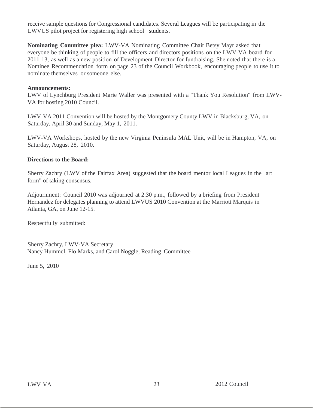receive sample questions for Congressional candidates. Several Leagues will be participating in the LWVUS pilot project for registering high school students.

**Nominating Committee plea:** LWV-VA Nominating Committee Chair Betsy Mayr asked that everyone be thinking of people to fill the officers and directors positions on the LWV-VA board for 2011-13, as well as a new position of Development Director for fundraising. She noted that there is a Nominee Recommendation form on page 23 of the Council Workbook, encouraging people to use it to nominate themselves or someone else.

### **Announcements:**

LWV of Lynchburg President Marie Waller was presented with a "Thank You Resolution" from LWV-VA for hosting 2010 Council.

LWV-VA 2011 Convention will be hosted by the Montgomery County LWV in Blacksburg, VA, on Saturday, April 30 and Sunday, May 1, 2011.

LWV-VA Workshops, hosted by the new Virginia Peninsula MAL Unit, will be in Hampton, VA, on Saturday, August 28, 2010.

### **Directions to the Board:**

Sherry Zachry (LWV of the Fairfax Area) suggested that the board mentor local Leagues in the "art form" of taking consensus.

Adjournment: Council 2010 was adjourned at 2:30 p.m., followed by a briefing from President Hernandez for delegates planning to attend LWVUS 2010 Convention at the Marriott Marquis in Atlanta, GA, on June 12-15.

Respectfully submitted:

Sherry Zachry, LWV-VA Secretary Nancy Hummel, Flo Marks, and Carol Noggle, Reading Committee

June 5, 2010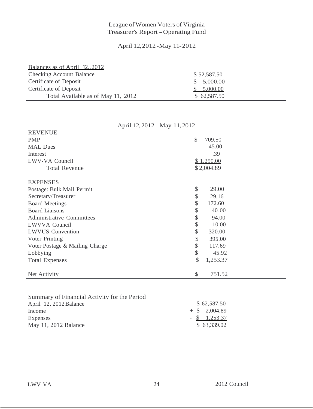# League of Women Voters of Virginia Treasurer's Report-Operating Fund

### April 12,2012 -May 11-2012

| Balances as of April 12, 2012      |             |  |
|------------------------------------|-------------|--|
| <b>Checking Account Balance</b>    | \$52,587.50 |  |
| Certificate of Deposit             | \$5,000.00  |  |
| Certificate of Deposit             | 5,000.00    |  |
| Total Available as of May 11, 2012 | \$62,587.50 |  |

April 12, <sup>2012</sup> -May 11,2012

| <b>REVENUE</b>                   |                         |
|----------------------------------|-------------------------|
| <b>PMP</b>                       | $\mathcal{S}$<br>709.50 |
| <b>MAL</b> Dues                  | 45.00                   |
| Interest                         | .39                     |
| LWV-VA Council                   | \$1,250.00              |
| <b>Total Revenue</b>             | \$2,004.89              |
| <b>EXPENSES</b>                  |                         |
| Postage: Bulk Mail Permit        | \$<br>29.00             |
| Secretary/Treasurer              | \$<br>29.16             |
| <b>Board Meetings</b>            | \$<br>172.60            |
| <b>Board Liaisons</b>            | \$<br>40.00             |
| <b>Administrative Committees</b> | \$<br>94.00             |
| LWVVA Council                    | \$<br>10.00             |
| <b>LWVUS</b> Convention          | \$<br>320.00            |
| Voter Printing                   | \$<br>395.00            |
| Voter Postage & Mailing Charge   | \$<br>117.69            |
| Lobbying                         | \$<br>45.92             |
| <b>Total Expenses</b>            | \$<br>1,253.37          |
| Net Activity                     | 751.52<br>\$            |

| Summary of Financial Activity for the Period |  |                 |
|----------------------------------------------|--|-----------------|
| April 12, 2012 Balance                       |  | \$62,587.50     |
| Income                                       |  | $+$ \$ 2,004.89 |
| Expenses                                     |  | $-$ \$ 1,253.37 |
| May 11, 2012 Balance                         |  | \$63,339.02     |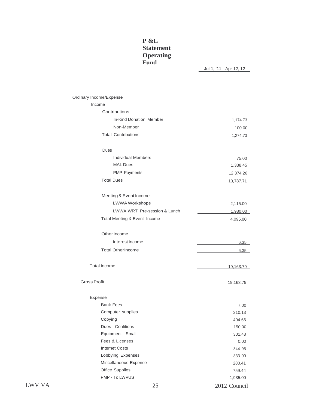### **P &L Statement Operating Fund**

Jul 1, '11 - Apr 12, 12

|        | Ordinary Income/Expense      |              |
|--------|------------------------------|--------------|
|        | Income                       |              |
|        | Contributions                |              |
|        | In-Kind Donation Member      | 1,174.73     |
|        | Non-Member                   | 100.00       |
|        | <b>Total Contributions</b>   | 1,274.73     |
|        | Dues                         |              |
|        | <b>Individual Members</b>    | 75.00        |
|        | <b>MAL Dues</b>              | 1,338.45     |
|        | <b>PMP Payments</b>          | 12,374.26    |
|        | <b>Total Dues</b>            | 13,787.71    |
|        | Meeting & Event Income       |              |
|        | <b>LWWA Workshops</b>        | 2,115.00     |
|        | LWWA WRT Pre-session & Lunch | 1,980.00     |
|        | Total Meeting & Event Income | 4,095.00     |
|        | Other Income                 |              |
|        | Interest Income              | 6.35         |
|        | <b>Total OtherIncome</b>     | 6.35         |
|        | <b>Total Income</b>          | 19,163.79    |
|        | <b>Gross Profit</b>          | 19,163.79    |
|        | Expense                      |              |
|        | <b>Bank Fees</b>             | 7.00         |
|        | Computer supplies            | 210.13       |
|        | Copying                      | 404.66       |
|        | Dues - Coalitions            | 150.00       |
|        | Equipment - Small            | 301.48       |
|        | Fees & Licenses              | 0.00         |
|        | <b>Internet Costs</b>        | 344.95       |
|        | Lobbying Expenses            | 833.00       |
|        | Miscellaneous Expense        | 280.41       |
|        | Office Supplies              | 759.44       |
|        | PMP - To LWVUS               | 1,935.00     |
| LWV VA | 25                           | 2012 Council |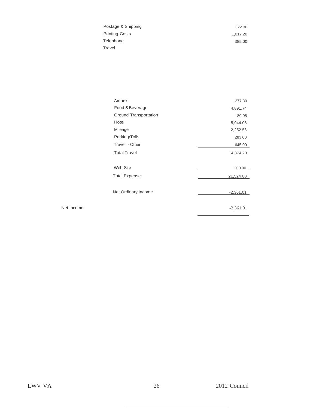| Postage & Shipping    | 322.30   |
|-----------------------|----------|
| <b>Printing Costs</b> | 1.017.20 |
| Telephone             | 385.00   |
| Travel                |          |

| Airfare               | 277.80      |
|-----------------------|-------------|
| Food & Beverage       | 4,891.74    |
| Ground Transportation | 80.05       |
| Hotel                 | 5,944.08    |
| Mileage               | 2,252.56    |
| Parking/Tolls         | 283.00      |
| Travel - Other        | 645.00      |
| <b>Total Travel</b>   | 14,374.23   |
|                       |             |
| Web Site              | 200.00      |
| <b>Total Expense</b>  | 21,524.80   |
|                       |             |
| Net Ordinary Income   | $-2,361.01$ |
|                       | $-2,361.01$ |

Net Income